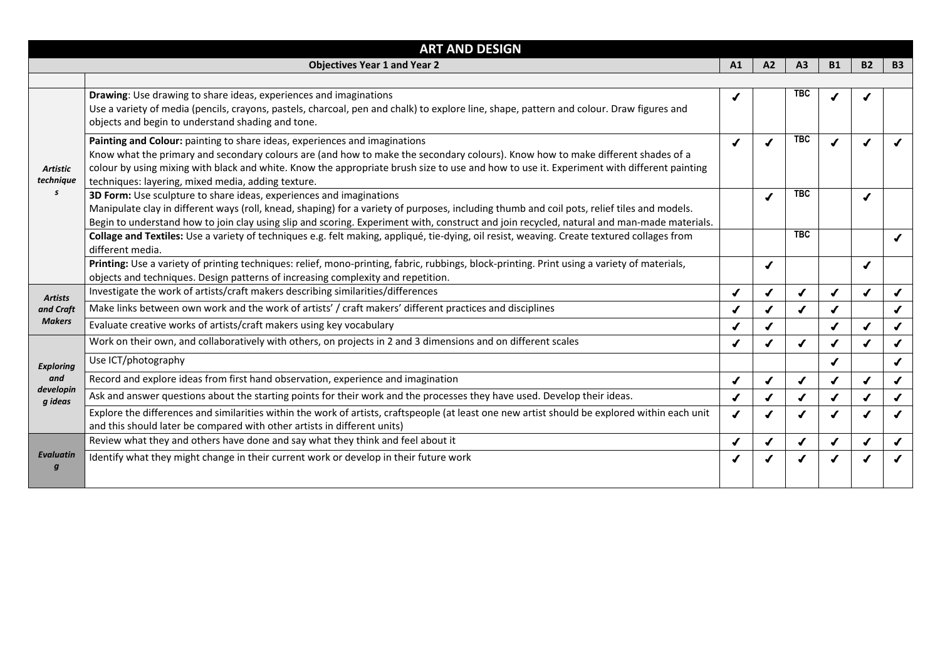|                                   | <b>ART AND DESIGN</b>                                                                                                                                                                                                                                                                                                                                                                                            |    |    |            |           |           |  |
|-----------------------------------|------------------------------------------------------------------------------------------------------------------------------------------------------------------------------------------------------------------------------------------------------------------------------------------------------------------------------------------------------------------------------------------------------------------|----|----|------------|-----------|-----------|--|
|                                   | A1                                                                                                                                                                                                                                                                                                                                                                                                               | A2 | A3 | <b>B1</b>  | <b>B2</b> | <b>B3</b> |  |
|                                   |                                                                                                                                                                                                                                                                                                                                                                                                                  |    |    |            |           |           |  |
| <b>Artistic</b><br>technique<br>S | Drawing: Use drawing to share ideas, experiences and imaginations<br>Use a variety of media (pencils, crayons, pastels, charcoal, pen and chalk) to explore line, shape, pattern and colour. Draw figures and<br>objects and begin to understand shading and tone.                                                                                                                                               |    |    | <b>TBC</b> |           |           |  |
|                                   | Painting and Colour: painting to share ideas, experiences and imaginations<br>Know what the primary and secondary colours are (and how to make the secondary colours). Know how to make different shades of a<br>colour by using mixing with black and white. Know the appropriate brush size to use and how to use it. Experiment with different painting<br>techniques: layering, mixed media, adding texture. |    |    | <b>TBC</b> |           |           |  |
|                                   | 3D Form: Use sculpture to share ideas, experiences and imaginations<br>Manipulate clay in different ways (roll, knead, shaping) for a variety of purposes, including thumb and coil pots, relief tiles and models.<br>Begin to understand how to join clay using slip and scoring. Experiment with, construct and join recycled, natural and man-made materials.                                                 |    |    | <b>TBC</b> |           |           |  |
|                                   | Collage and Textiles: Use a variety of techniques e.g. felt making, appliqué, tie-dying, oil resist, weaving. Create textured collages from<br>different media.                                                                                                                                                                                                                                                  |    |    | <b>TBC</b> |           |           |  |
|                                   | Printing: Use a variety of printing techniques: relief, mono-printing, fabric, rubbings, block-printing. Print using a variety of materials,<br>objects and techniques. Design patterns of increasing complexity and repetition.                                                                                                                                                                                 |    |    |            |           |           |  |
| <b>Artists</b>                    | Investigate the work of artists/craft makers describing similarities/differences                                                                                                                                                                                                                                                                                                                                 |    |    |            |           |           |  |
| and Craft                         | Make links between own work and the work of artists' / craft makers' different practices and disciplines                                                                                                                                                                                                                                                                                                         |    |    |            |           |           |  |
| <b>Makers</b>                     | Evaluate creative works of artists/craft makers using key vocabulary                                                                                                                                                                                                                                                                                                                                             |    |    |            |           |           |  |
|                                   | Work on their own, and collaboratively with others, on projects in 2 and 3 dimensions and on different scales                                                                                                                                                                                                                                                                                                    |    |    |            |           |           |  |
| <b>Exploring</b>                  | Use ICT/photography                                                                                                                                                                                                                                                                                                                                                                                              |    |    |            |           |           |  |
| and                               | Record and explore ideas from first hand observation, experience and imagination                                                                                                                                                                                                                                                                                                                                 |    |    |            |           |           |  |
| developin<br>g ideas              | Ask and answer questions about the starting points for their work and the processes they have used. Develop their ideas.                                                                                                                                                                                                                                                                                         |    |    |            |           |           |  |
|                                   | Explore the differences and similarities within the work of artists, craftspeople (at least one new artist should be explored within each unit<br>and this should later be compared with other artists in different units)                                                                                                                                                                                       |    |    |            |           |           |  |
| <b>Evaluatin</b><br>g             | Review what they and others have done and say what they think and feel about it                                                                                                                                                                                                                                                                                                                                  |    |    |            |           |           |  |
|                                   | Identify what they might change in their current work or develop in their future work                                                                                                                                                                                                                                                                                                                            |    |    |            |           |           |  |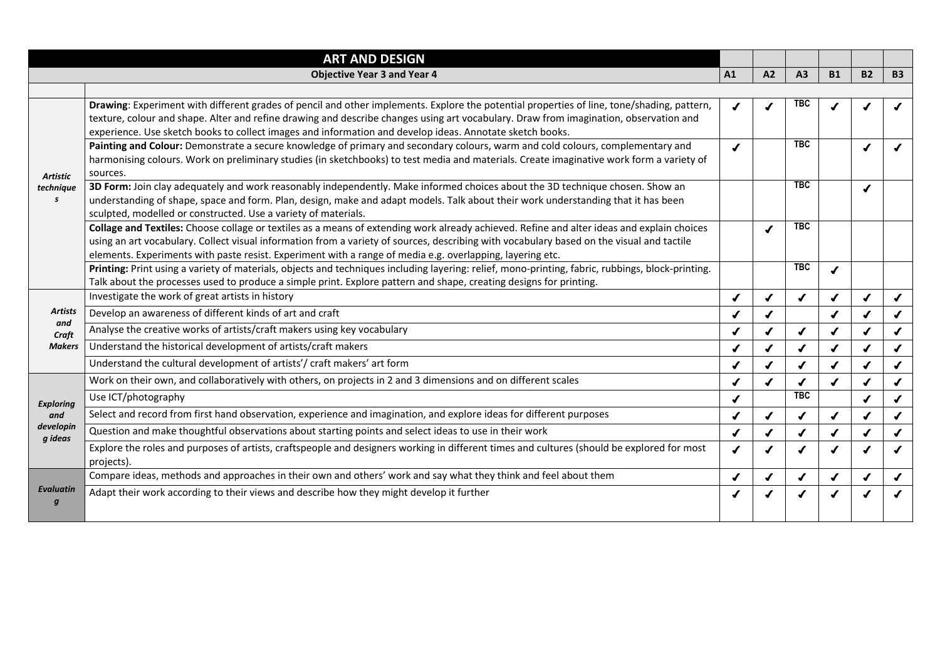|                                                           | <b>ART AND DESIGN</b>                                                                                                                                                                                                                                                                                                                                                                                |                  |    |            |           |           |           |
|-----------------------------------------------------------|------------------------------------------------------------------------------------------------------------------------------------------------------------------------------------------------------------------------------------------------------------------------------------------------------------------------------------------------------------------------------------------------------|------------------|----|------------|-----------|-----------|-----------|
|                                                           | <b>Objective Year 3 and Year 4</b>                                                                                                                                                                                                                                                                                                                                                                   | A1               | A2 | A3         | <b>B1</b> | <b>B2</b> | <b>B3</b> |
|                                                           |                                                                                                                                                                                                                                                                                                                                                                                                      |                  |    |            |           |           |           |
| <b>Artistic</b><br>technique<br>$\boldsymbol{\mathsf{s}}$ | Drawing: Experiment with different grades of pencil and other implements. Explore the potential properties of line, tone/shading, pattern,<br>texture, colour and shape. Alter and refine drawing and describe changes using art vocabulary. Draw from imagination, observation and<br>experience. Use sketch books to collect images and information and develop ideas. Annotate sketch books.      |                  |    | <b>TBC</b> |           |           |           |
|                                                           | Painting and Colour: Demonstrate a secure knowledge of primary and secondary colours, warm and cold colours, complementary and<br>harmonising colours. Work on preliminary studies (in sketchbooks) to test media and materials. Create imaginative work form a variety of<br>sources.                                                                                                               | $\boldsymbol{J}$ |    | <b>TBC</b> |           |           |           |
|                                                           | 3D Form: Join clay adequately and work reasonably independently. Make informed choices about the 3D technique chosen. Show an<br>understanding of shape, space and form. Plan, design, make and adapt models. Talk about their work understanding that it has been<br>sculpted, modelled or constructed. Use a variety of materials.                                                                 |                  |    | <b>TBC</b> |           |           |           |
|                                                           | Collage and Textiles: Choose collage or textiles as a means of extending work already achieved. Refine and alter ideas and explain choices<br>using an art vocabulary. Collect visual information from a variety of sources, describing with vocabulary based on the visual and tactile<br>elements. Experiments with paste resist. Experiment with a range of media e.g. overlapping, layering etc. |                  |    | <b>TBC</b> |           |           |           |
|                                                           | Printing: Print using a variety of materials, objects and techniques including layering: relief, mono-printing, fabric, rubbings, block-printing.<br>Talk about the processes used to produce a simple print. Explore pattern and shape, creating designs for printing.                                                                                                                              |                  |    | <b>TBC</b> |           |           |           |
|                                                           | Investigate the work of great artists in history                                                                                                                                                                                                                                                                                                                                                     |                  |    |            |           |           |           |
| <b>Artists</b>                                            | Develop an awareness of different kinds of art and craft                                                                                                                                                                                                                                                                                                                                             |                  |    |            |           |           |           |
| and<br>Craft                                              | Analyse the creative works of artists/craft makers using key vocabulary                                                                                                                                                                                                                                                                                                                              |                  |    |            |           |           |           |
| <b>Makers</b>                                             | Understand the historical development of artists/craft makers                                                                                                                                                                                                                                                                                                                                        |                  |    |            |           |           |           |
|                                                           | Understand the cultural development of artists'/ craft makers' art form                                                                                                                                                                                                                                                                                                                              |                  |    |            |           |           |           |
|                                                           | Work on their own, and collaboratively with others, on projects in 2 and 3 dimensions and on different scales                                                                                                                                                                                                                                                                                        |                  |    |            |           |           |           |
| <b>Exploring</b>                                          | Use ICT/photography                                                                                                                                                                                                                                                                                                                                                                                  |                  |    | <b>TBC</b> |           |           |           |
| and<br>developin<br>g ideas                               | Select and record from first hand observation, experience and imagination, and explore ideas for different purposes                                                                                                                                                                                                                                                                                  |                  |    |            |           |           |           |
|                                                           | Question and make thoughtful observations about starting points and select ideas to use in their work                                                                                                                                                                                                                                                                                                |                  |    |            |           |           |           |
|                                                           | Explore the roles and purposes of artists, craftspeople and designers working in different times and cultures (should be explored for most<br>projects).                                                                                                                                                                                                                                             |                  |    |            |           |           |           |
| <b>Evaluatin</b><br>$\boldsymbol{g}$                      | Compare ideas, methods and approaches in their own and others' work and say what they think and feel about them                                                                                                                                                                                                                                                                                      |                  |    |            |           |           |           |
|                                                           | Adapt their work according to their views and describe how they might develop it further                                                                                                                                                                                                                                                                                                             |                  |    |            |           |           |           |